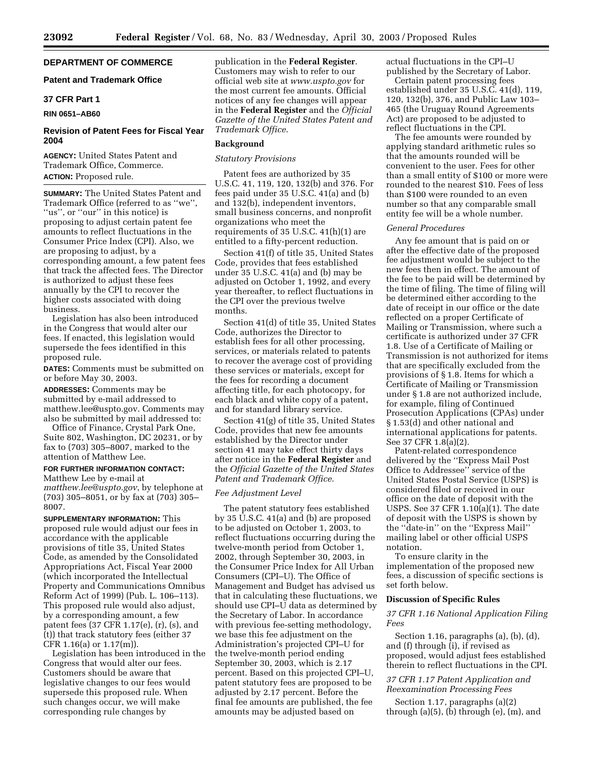# **DEPARTMENT OF COMMERCE**

### **Patent and Trademark Office**

## **37 CFR Part 1**

#### **RIN 0651–AB60**

### **Revision of Patent Fees for Fiscal Year 2004**

**AGENCY:** United States Patent and Trademark Office, Commerce. **ACTION:** Proposed rule.

**SUMMARY:** The United States Patent and Trademark Office (referred to as ''we'', "us", or "our" in this notice) is proposing to adjust certain patent fee amounts to reflect fluctuations in the Consumer Price Index (CPI). Also, we are proposing to adjust, by a corresponding amount, a few patent fees that track the affected fees. The Director is authorized to adjust these fees annually by the CPI to recover the higher costs associated with doing business.

Legislation has also been introduced in the Congress that would alter our fees. If enacted, this legislation would supersede the fees identified in this proposed rule.

**DATES:** Comments must be submitted on or before May 30, 2003.

**ADDRESSES:** Comments may be submitted by e-mail addressed to [matthew.lee@uspto.gov.](mailto:matthew.lee@uspto.gov) Comments may also be submitted by mail addressed to:

Office of Finance, Crystal Park One, Suite 802, Washington, DC 20231, or by fax to (703) 305–8007, marked to the attention of Matthew Lee.

### **FOR FURTHER INFORMATION CONTACT:**  Matthew Lee by e-mail at

*[matthew.lee@uspto.gov](mailto:matthew.lee@uspto.gov)*, by telephone at (703) 305–8051, or by fax at (703) 305– 8007.

**SUPPLEMENTARY INFORMATION:** This proposed rule would adjust our fees in accordance with the applicable provisions of title 35, United States Code, as amended by the Consolidated Appropriations Act, Fiscal Year 2000 (which incorporated the Intellectual Property and Communications Omnibus Reform Act of 1999) (Pub. L. 106–113). This proposed rule would also adjust, by a corresponding amount, a few patent fees (37 CFR 1.17(e), (r), (s), and (t)) that track statutory fees (either 37 CFR 1.16(a) or 1.17(m)).

Legislation has been introduced in the Congress that would alter our fees. Customers should be aware that legislative changes to our fees would supersede this proposed rule. When such changes occur, we will make corresponding rule changes by

publication in the **Federal Register**. Customers may wish to refer to our official web site at *[www.uspto.gov](http://www.uspto.gov)* for the most current fee amounts. Official notices of any fee changes will appear in the **Federal Register** and the *Official Gazette of the United States Patent and Trademark Office*.

#### **Background**

#### *Statutory Provisions*

Patent fees are authorized by 35 U.S.C. 41, 119, 120, 132(b) and 376. For fees paid under 35 U.S.C. 41(a) and (b) and 132(b), independent inventors, small business concerns, and nonprofit organizations who meet the requirements of 35 U.S.C. 41(h)(1) are entitled to a fifty-percent reduction.

Section 41(f) of title 35, United States Code, provides that fees established under 35 U.S.C. 41(a) and (b) may be adjusted on October 1, 1992, and every year thereafter, to reflect fluctuations in the CPI over the previous twelve months.

Section 41(d) of title 35, United States Code, authorizes the Director to establish fees for all other processing, services, or materials related to patents to recover the average cost of providing these services or materials, except for the fees for recording a document affecting title, for each photocopy, for each black and white copy of a patent, and for standard library service.

Section 41(g) of title 35, United States Code, provides that new fee amounts established by the Director under section 41 may take effect thirty days after notice in the **Federal Register** and the *Official Gazette of the United States Patent and Trademark Office*.

#### *Fee Adjustment Level*

The patent statutory fees established by 35  $\dot{\text{U}}$ .S.C. 41(a) and (b) are proposed to be adjusted on October 1, 2003, to reflect fluctuations occurring during the twelve-month period from October 1, 2002, through September 30, 2003, in the Consumer Price Index for All Urban Consumers (CPI–U). The Office of Management and Budget has advised us that in calculating these fluctuations, we should use CPI–U data as determined by the Secretary of Labor. In accordance with previous fee-setting methodology, we base this fee adjustment on the Administration's projected CPI–U for the twelve-month period ending September 30, 2003, which is 2.17 percent. Based on this projected CPI–U, patent statutory fees are proposed to be adjusted by 2.17 percent. Before the final fee amounts are published, the fee amounts may be adjusted based on

actual fluctuations in the CPI–U published by the Secretary of Labor.

Certain patent processing fees established under 35 U.S.C. 41(d), 119, 120, 132(b), 376, and Public Law 103– 465 (the Uruguay Round Agreements Act) are proposed to be adjusted to reflect fluctuations in the CPI.

The fee amounts were rounded by applying standard arithmetic rules so that the amounts rounded will be convenient to the user. Fees for other than a small entity of \$100 or more were rounded to the nearest \$10. Fees of less than \$100 were rounded to an even number so that any comparable small entity fee will be a whole number.

### *General Procedures*

Any fee amount that is paid on or after the effective date of the proposed fee adjustment would be subject to the new fees then in effect. The amount of the fee to be paid will be determined by the time of filing. The time of filing will be determined either according to the date of receipt in our office or the date reflected on a proper Certificate of Mailing or Transmission, where such a certificate is authorized under 37 CFR 1.8. Use of a Certificate of Mailing or Transmission is not authorized for items that are specifically excluded from the provisions of § 1.8. Items for which a Certificate of Mailing or Transmission under § 1.8 are not authorized include, for example, filing of Continued Prosecution Applications (CPAs) under § 1.53(d) and other national and international applications for patents. See 37 CFR 1.8(a)(2).

Patent-related correspondence delivered by the ''Express Mail Post Office to Addressee'' service of the United States Postal Service (USPS) is considered filed or received in our office on the date of deposit with the USPS. See 37 CFR 1.10(a)(1). The date of deposit with the USPS is shown by the ''date-in'' on the ''Express Mail'' mailing label or other official USPS notation.

To ensure clarity in the implementation of the proposed new fees, a discussion of specific sections is set forth below.

### **Discussion of Specific Rules**

### *37 CFR 1.16 National Application Filing Fees*

Section 1.16, paragraphs (a), (b), (d), and (f) through (i), if revised as proposed, would adjust fees established therein to reflect fluctuations in the CPI.

### *37 CFR 1.17 Patent Application and Reexamination Processing Fees*

Section 1.17, paragraphs (a)(2) through  $(a)(5)$ ,  $(b)$  through  $(e)$ ,  $(m)$ , and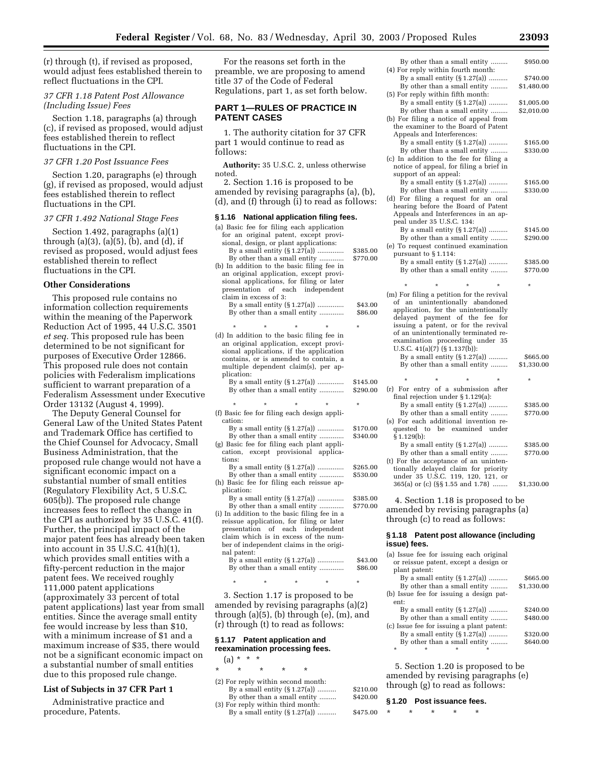(r) through (t), if revised as proposed, would adjust fees established therein to reflect fluctuations in the CPI.

### *37 CFR 1.18 Patent Post Allowance (Including Issue) Fees*

Section 1.18, paragraphs (a) through (c), if revised as proposed, would adjust fees established therein to reflect fluctuations in the CPI.

### *37 CFR 1.20 Post Issuance Fees*

Section 1.20, paragraphs (e) through (g), if revised as proposed, would adjust fees established therein to reflect fluctuations in the CPI.

#### *37 CFR 1.492 National Stage Fees*

Section 1.492, paragraphs (a)(1) through (a)(3), (a)(5), (b), and (d), if revised as proposed, would adjust fees established therein to reflect fluctuations in the CPI.

### **Other Considerations**

This proposed rule contains no information collection requirements within the meaning of the Paperwork Reduction Act of 1995, 44 U.S.C. 3501 *et seq.* This proposed rule has been determined to be not significant for purposes of Executive Order 12866. This proposed rule does not contain policies with Federalism implications sufficient to warrant preparation of a Federalism Assessment under Executive Order 13132 (August 4, 1999).

The Deputy General Counsel for General Law of the United States Patent and Trademark Office has certified to the Chief Counsel for Advocacy, Small Business Administration, that the proposed rule change would not have a significant economic impact on a substantial number of small entities (Regulatory Flexibility Act, 5 U.S.C. 605(b)). The proposed rule change increases fees to reflect the change in the CPI as authorized by 35 U.S.C. 41(f). Further, the principal impact of the major patent fees has already been taken into account in 35 U.S.C. 41(h)(1), which provides small entities with a fifty-percent reduction in the major patent fees. We received roughly 111,000 patent applications (approximately 33 percent of total patent applications) last year from small entities. Since the average small entity fee would increase by less than \$10, with a minimum increase of \$1 and a maximum increase of \$35, there would not be a significant economic impact on a substantial number of small entities due to this proposed rule change.

### **List of Subjects in 37 CFR Part 1**

Administrative practice and procedure, Patents.

For the reasons set forth in the preamble, we are proposing to amend title 37 of the Code of Federal Regulations, part 1, as set forth below.

### **PART 1—RULES OF PRACTICE IN PATENT CASES**

1. The authority citation for 37 CFR part 1 would continue to read as follows:

**Authority:** 35 U.S.C. 2, unless otherwise noted.

2. Section 1.16 is proposed to be amended by revising paragraphs (a), (b) (d), and (f) through (i) to read as follows:

#### **§ 1.16 National application filing fees.**

| (a) Basic fee for filing each application<br>for an original patent, except provi-<br>sional, design, or plant applications:                                                                                                   |                      |
|--------------------------------------------------------------------------------------------------------------------------------------------------------------------------------------------------------------------------------|----------------------|
| By a small entity $(\S 1.27(a))$                                                                                                                                                                                               | \$385.00             |
| By other than a small entity                                                                                                                                                                                                   | \$770.00             |
| (b) In addition to the basic filing fee in<br>an original application, except provi-<br>sional applications, for filing or later<br>of each<br>independent<br>presentation                                                     |                      |
| claim in excess of 3:                                                                                                                                                                                                          |                      |
| By a small entity (§1.27(a))<br>By other than a small entity                                                                                                                                                                   | \$43.00<br>\$86.00   |
| ÷                                                                                                                                                                                                                              | $\star$              |
| (d) In addition to the basic filing fee in<br>an original application, except provi-<br>sional applications, if the application<br>contains, or is amended to contain, a<br>multiple dependent claim(s), per ap-<br>plication: |                      |
| By a small entity $(\S 1.27(a))$<br>By other than a small entity                                                                                                                                                               | \$145.00<br>\$290.00 |
| $\star$<br>$\star$<br>$\star$<br>÷                                                                                                                                                                                             | $\star$              |
| (f) Basic fee for filing each design appli-                                                                                                                                                                                    |                      |
| cation:                                                                                                                                                                                                                        |                      |
| By a small entity $(\S 1.27(a))$                                                                                                                                                                                               | \$170.00             |
| By other than a small entity                                                                                                                                                                                                   | \$340.00             |
| (g) Basic fee for filing each plant appli-                                                                                                                                                                                     |                      |
| cation, except provisional applica-                                                                                                                                                                                            |                      |
| tions:                                                                                                                                                                                                                         |                      |
| By a small entity $(\S 1.27(a))$                                                                                                                                                                                               | \$265.00             |
| By other than a small entity                                                                                                                                                                                                   | \$530.00             |
| (h) Basic fee for filing each reissue ap-                                                                                                                                                                                      |                      |
| plication:                                                                                                                                                                                                                     |                      |
| By a small entity $(\S 1.27(a))$                                                                                                                                                                                               | \$385.00             |
| By other than a small entity                                                                                                                                                                                                   | \$770.00             |
| (i) In addition to the basic filing fee in a                                                                                                                                                                                   |                      |
| reissue application, for filing or later                                                                                                                                                                                       |                      |
| presentation of each independent                                                                                                                                                                                               |                      |
| claim which is in excess of the num-                                                                                                                                                                                           |                      |
| ber of independent claims in the origi-                                                                                                                                                                                        |                      |
| nal patent:                                                                                                                                                                                                                    |                      |

| ---- <i>-</i> ------<br>By a small entity $(\S 1.27(a))$<br>By other than a small entity | \$43.00<br>\$86.00 |
|------------------------------------------------------------------------------------------|--------------------|
|                                                                                          |                    |

3. Section 1.17 is proposed to be amended by revising paragraphs (a)(2) through (a)(5), (b) through (e), (m), and (r) through (t) to read as follows:

\* \* \* \* \*

### **§ 1.17 Patent application and reexamination processing fees.**

 $(a) * * * *$ 

| $\star$ | ÷ | ÷ |                                    |         |
|---------|---|---|------------------------------------|---------|
|         |   |   | (2) For reply within second month: |         |
|         |   |   | By a small entity $(\S 1.27(a))$   | \$210.0 |
|         |   |   | By other than a small entity       | \$420.0 |
|         |   |   | (3) For reply within third month:  |         |
|         |   |   | $Bv$ a small entity $(S1.27(a))$   | \$475.0 |

|   | By other than a small entity<br>(4) For reply within fourth month:   | \$950.00   |
|---|----------------------------------------------------------------------|------------|
|   | By a small entity $(\S 1.27(a))$                                     | \$740.00   |
|   | By other than a small entity<br>(5) For reply within fifth month:    | \$1,480.00 |
|   | By a small entity $(\S 1.27(a))$                                     | \$1,005.00 |
|   | By other than a small entity                                         | \$2,010.00 |
|   | (b) For filing a notice of appeal from                               |            |
|   | the examiner to the Board of Patent                                  |            |
|   | Appeals and Interferences:                                           |            |
|   | By a small entity (§1.27(a))                                         | \$165.00   |
|   | By other than a small entity                                         | \$330.00   |
|   | (c) In addition to the fee for filing a                              |            |
|   | notice of appeal, for filing a brief in                              |            |
|   | support of an appeal:                                                |            |
|   | By a small entity $(\S 1.27(a))$                                     | \$165.00   |
|   | By other than a small entity                                         | \$330.00   |
|   | (d) For filing a request for an oral                                 |            |
|   | hearing before the Board of Patent                                   |            |
|   | Appeals and Interferences in an ap-                                  |            |
|   | peal under 35 U.S.C. 134:                                            |            |
|   | By a small entity (§1.27(a))                                         | \$145.00   |
|   | By other than a small entity                                         | \$290.00   |
| 0 | (e) To request continued examination                                 |            |
| 0 | pursuant to §1.114:                                                  |            |
|   | By a small entity $(\S 1.27(a))$                                     | \$385.00   |
|   | By other than a small entity                                         | \$770.00   |
|   |                                                                      |            |
|   | (m) For filing a petition for the revival                            |            |
| 0 | of an unintentionally abandoned                                      |            |
| 0 | application, for the unintentionally                                 |            |
|   | delayed payment of the fee for                                       |            |
|   | issuing a patent, or for the revival                                 |            |
|   | of an unintentionally terminated re-                                 |            |
|   | examination proceeding under<br>35                                   |            |
|   | U.S.C. $41(a)(7)$ (§1.137(b)):<br>By a small entity $(\S 1.27(a))$   | \$665.00   |
|   | By other than a small entity                                         | \$1,330.00 |
|   |                                                                      |            |
| 0 |                                                                      |            |
| 0 | (r) For entry of a submission after                                  |            |
|   | final rejection under § 1.129(a):                                    |            |
|   | By a small entity $(\S 1.27(a))$                                     | \$385.00   |
|   | By other than a small entity                                         | \$770.00   |
|   | (s) For each additional invention re-                                |            |
| 0 | quested to<br>be examined under                                      |            |
| 0 | § 1.129(b):                                                          |            |
|   | By a small entity $(\S 1.27(a))$                                     | \$385.00   |
|   | By other than a small entity                                         | \$770.00   |
|   |                                                                      |            |
|   | (t) For the acceptance of an uninten-                                |            |
| 0 | tionally delayed claim for priority                                  |            |
| 0 | under 35 U.S.C. 119, 120, 121, or<br>365(a) or (c) (§§1.55 and 1.78) | \$1,330.00 |

4. Section 1.18 is proposed to be amended by revising paragraphs (a)

through (c) to read as follows:

#### **§ 1.18 Patent post allowance (including issue) fees.**

|         |               | (a) Issue fee for issuing each original   |            |
|---------|---------------|-------------------------------------------|------------|
|         |               | or reissue patent, except a design or     |            |
|         | plant patent: |                                           |            |
|         |               | By a small entity $(\S 1.27(a))$          | \$665.00   |
|         |               | By other than a small entity              | \$1,330.00 |
|         |               | (b) Issue fee for issuing a design pat-   |            |
| ent:    |               |                                           |            |
|         |               | By a small entity $(\S 1.27(a))$          | \$240.00   |
|         |               | By other than a small entity              | \$480.00   |
|         |               | (c) Issue fee for issuing a plant patent: |            |
|         |               | By a small entity $(\S 1.27(a))$          | \$320.00   |
|         |               | By other than a small entity              | \$640.00   |
| $\star$ |               |                                           |            |
|         |               |                                           |            |

5. Section 1.20 is proposed to be amended by revising paragraphs (e) through (g) to read as follows:

#### $$420.00$ **§ 1.20 Post issuance fees.**

| 0 * * * * * |  |  |
|-------------|--|--|
|             |  |  |

 $$210.00$